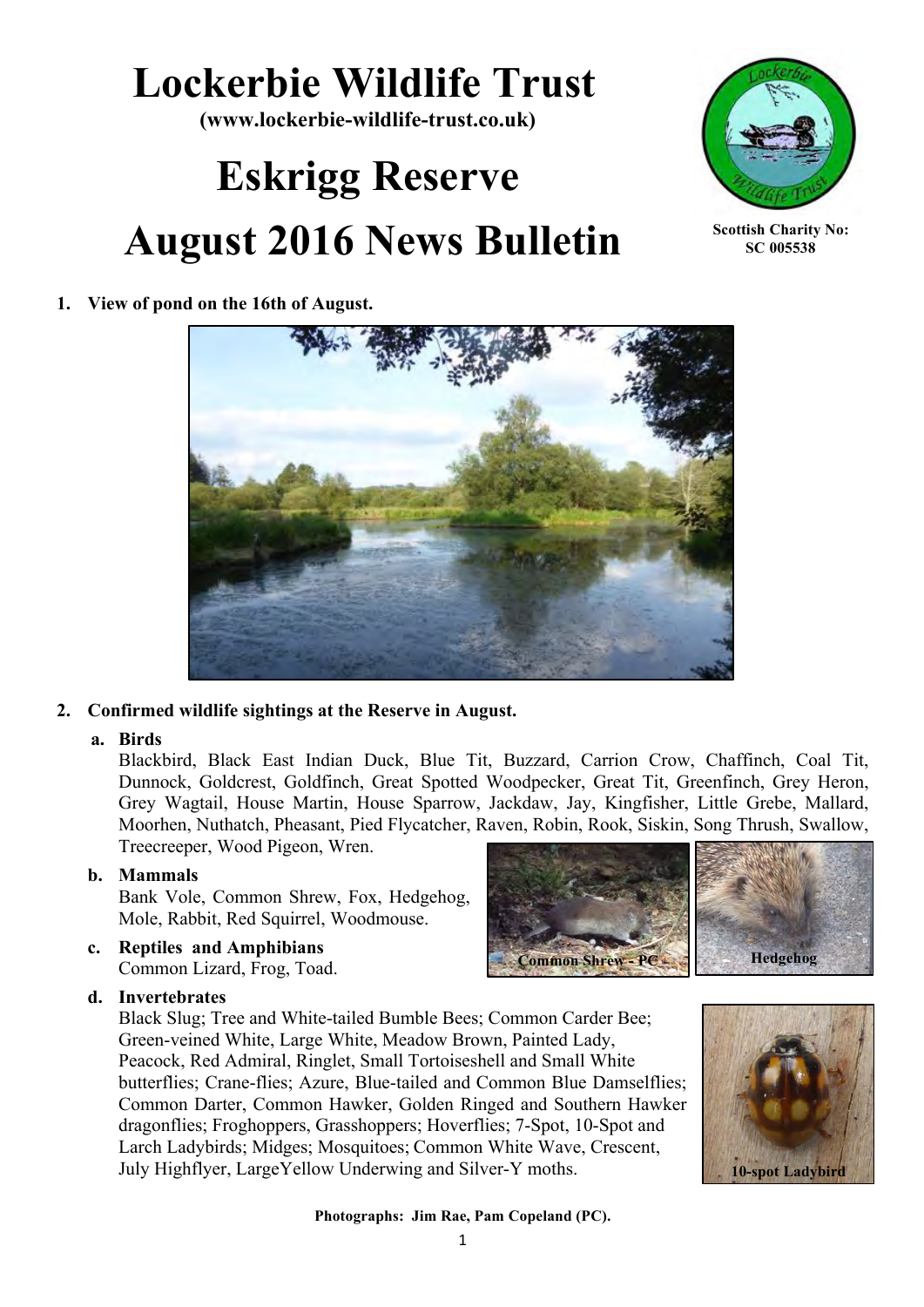## **Lockerbie Wildlife Trust**

**(www.lockerbie-wildlife-trust.co.uk)**

# **Eskrigg Reserve August 2016 News Bulletin**



**Scottish Charity No: SC 005538**

**1. View of pond on the 16th of August.**



#### **2. Confirmed wildlife sightings at the Reserve in August.**

#### **a. Birds**

Blackbird, Black East Indian Duck, Blue Tit, Buzzard, Carrion Crow, Chaffinch, Coal Tit, Dunnock, Goldcrest, Goldfinch, Great Spotted Woodpecker, Great Tit, Greenfinch, Grey Heron, Grey Wagtail, House Martin, House Sparrow, Jackdaw, Jay, Kingfisher, Little Grebe, Mallard, Moorhen, Nuthatch, Pheasant, Pied Flycatcher, Raven, Robin, Rook, Siskin, Song Thrush, Swallow, Treecreeper, Wood Pigeon, Wren.

#### **b. Mammals**

Bank Vole, Common Shrew, Fox, Hedgehog, Mole, Rabbit, Red Squirrel, Woodmouse.

**c. Reptiles and Amphibians**  Common Lizard, Frog, Toad.

#### **d. Invertebrates**

Black Slug; Tree and White-tailed Bumble Bees; Common Carder Bee; Green-veined White, Large White, Meadow Brown, Painted Lady, Peacock, Red Admiral, Ringlet, Small Tortoiseshell and Small White butterflies; Crane-flies; Azure, Blue-tailed and Common Blue Damselflies; Common Darter, Common Hawker, Golden Ringed and Southern Hawker dragonflies; Froghoppers, Grasshoppers; Hoverflies; 7-Spot, 10-Spot and Larch Ladybirds; Midges; Mosquitoes; Common White Wave, Crescent, July Highflyer, LargeYellow Underwing and Silver-Y moths.





#### **Photographs: Jim Rae, Pam Copeland (PC).**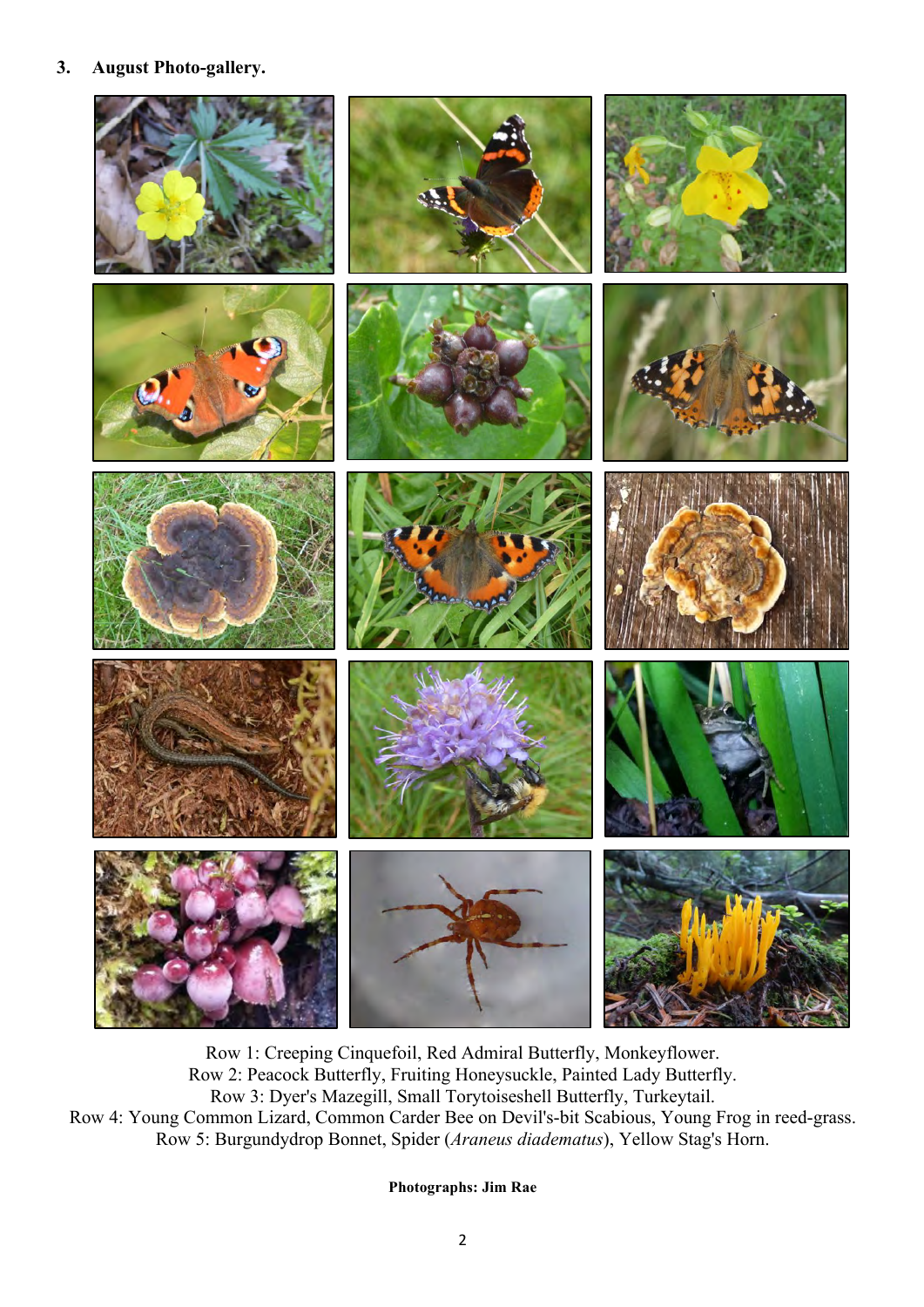#### **3. August Photo-gallery.**



Row 1: Creeping Cinquefoil, Red Admiral Butterfly, Monkeyflower. Row 2: Peacock Butterfly, Fruiting Honeysuckle, Painted Lady Butterfly. Row 3: Dyer's Mazegill, Small Torytoiseshell Butterfly, Turkeytail. Row 4: Young Common Lizard, Common Carder Bee on Devil's-bit Scabious, Young Frog in reed-grass. Row 5: Burgundydrop Bonnet, Spider (*Araneus diadematus*), Yellow Stag's Horn.

**Photographs: Jim Rae**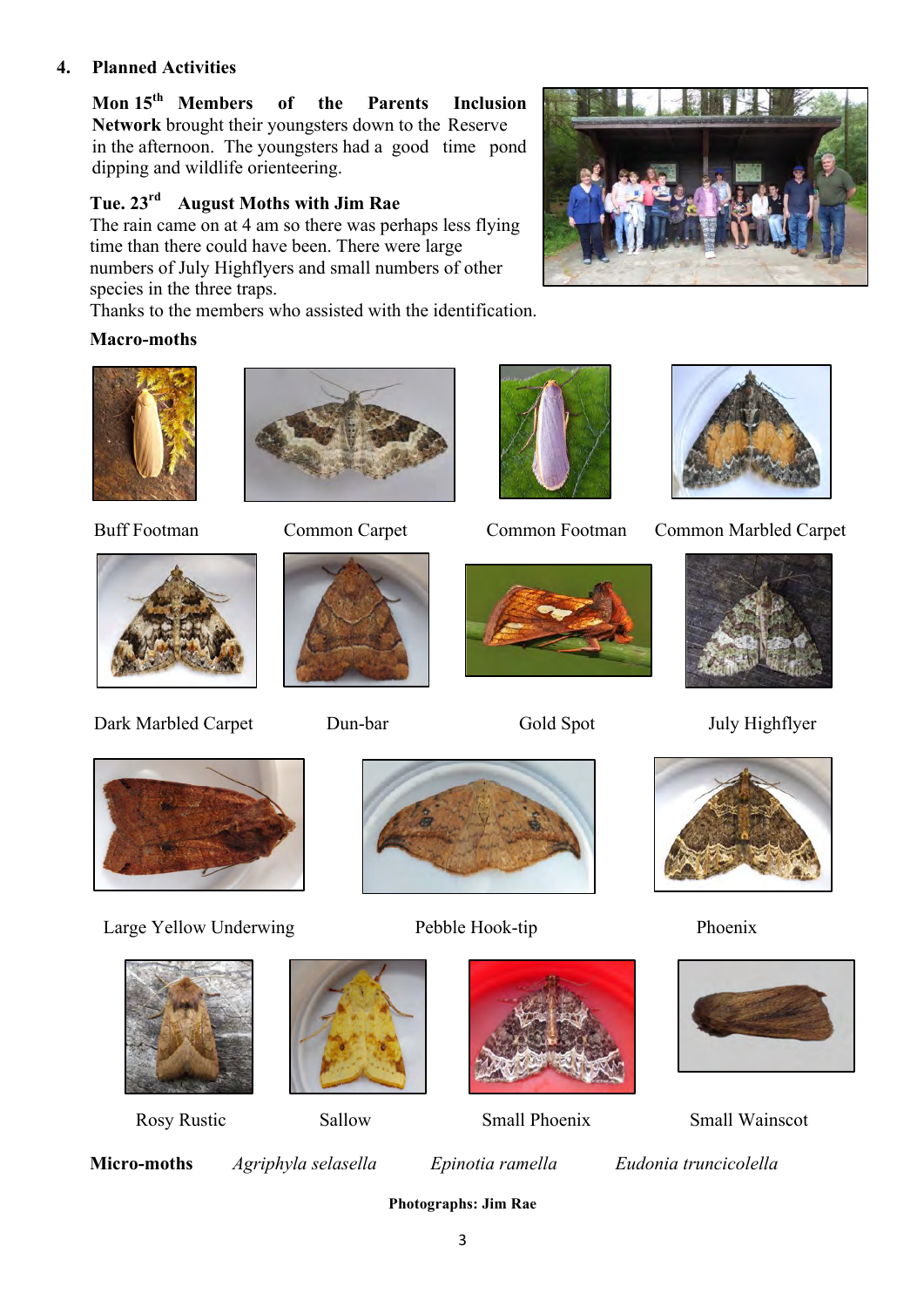#### **4. Planned Activities**

**Mon 15th Members of the Parents Inclusion Network** brought their youngsters down to the Reserve in the afternoon. The youngsters had a good time pond dipping and wildlife orienteering.

#### **Tue. 23rd August Moths with Jim Rae**

The rain came on at 4 am so there was perhaps less flying time than there could have been. There were large numbers of July Highflyers and small numbers of other species in the three traps.

Thanks to the members who assisted with the identification.

#### **Macro-moths**





Dark Marbled Carpet Dun-bar Gold Spot July Highflyer









Buff Footman Common Carpet Common Footman Common Marbled Carpet















Rosy Rustic Sallow Small Phoenix Small Wainscot

**Micro-moths** *Agriphyla selasella Epinotia ramella Eudonia truncicolella*

**Photographs: Jim Rae**

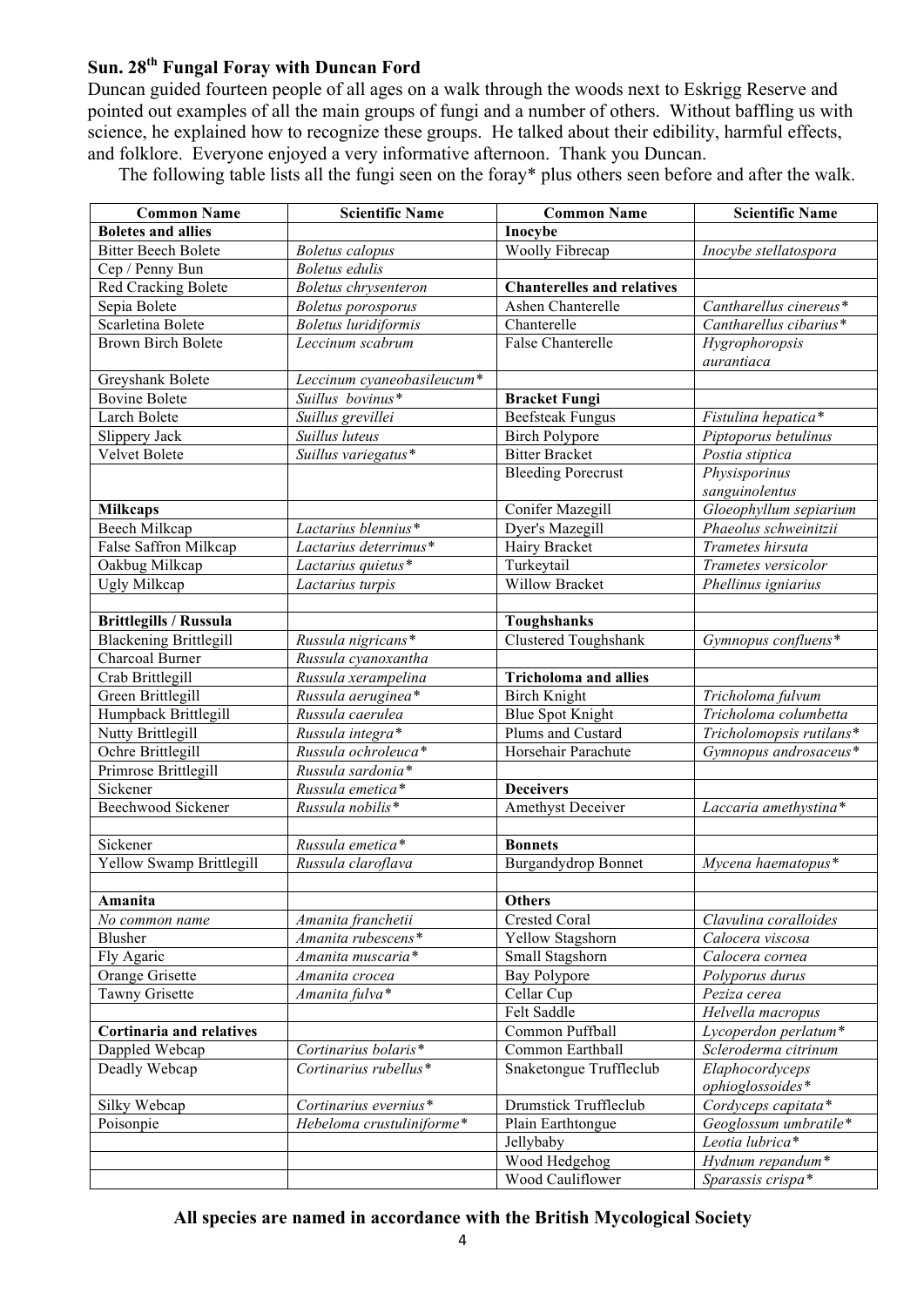### **Sun. 28th Fungal Foray with Duncan Ford**

Duncan guided fourteen people of all ages on a walk through the woods next to Eskrigg Reserve and pointed out examples of all the main groups of fungi and a number of others. Without baffling us with science, he explained how to recognize these groups. He talked about their edibility, harmful effects, and folklore. Everyone enjoyed a very informative afternoon. Thank you Duncan.

The following table lists all the fungi seen on the foray\* plus others seen before and after the walk.

| <b>Common Name</b>            | <b>Scientific Name</b>          | <b>Common Name</b>                | <b>Scientific Name</b>   |
|-------------------------------|---------------------------------|-----------------------------------|--------------------------|
| <b>Boletes and allies</b>     |                                 | Inocybe                           |                          |
| <b>Bitter Beech Bolete</b>    | <b>Boletus</b> calopus          | Woolly Fibrecap                   | Inocybe stellatospora    |
| Cep / Penny Bun               | <b>Boletus</b> edulis           |                                   |                          |
| Red Cracking Bolete           | Boletus chrysenteron            | <b>Chanterelles and relatives</b> |                          |
| Sepia Bolete                  | <b>Boletus</b> porosporus       | Ashen Chanterelle                 | Cantharellus cinereus*   |
| Scarletina Bolete             | <b>Boletus</b> luridiformis     | Chanterelle                       | Cantharellus cibarius*   |
| <b>Brown Birch Bolete</b>     | Leccinum scabrum                | <b>False Chanterelle</b>          | Hygrophoropsis           |
|                               |                                 |                                   | aurantiaca               |
| Greyshank Bolete              | Leccinum cyaneobasileucum*      |                                   |                          |
| <b>Bovine Bolete</b>          | Suillus bovinus*                | <b>Bracket Fungi</b>              |                          |
| Larch Bolete                  | Suillus grevillei               | <b>Beefsteak Fungus</b>           | Fistulina hepatica*      |
| Slippery Jack                 | Suillus luteus                  | <b>Birch Polypore</b>             | Piptoporus betulinus     |
| Velvet Bolete                 | Suillus variegatus*             | <b>Bitter Bracket</b>             | Postia stiptica          |
|                               |                                 | <b>Bleeding Porecrust</b>         | Physisporinus            |
|                               |                                 |                                   | sanguinolentus           |
| <b>Milkcaps</b>               |                                 | Conifer Mazegill                  | Gloeophyllum sepiarium   |
| Beech Milkcap                 | Lactarius blennius*             | Dyer's Mazegill                   | Phaeolus schweinitzii    |
| False Saffron Milkcap         | Lactarius deterrimus*           | Hairy Bracket                     | Trametes hirsuta         |
| Oakbug Milkcap                | Lactarius quietus*              | Turkeytail                        | Trametes versicolor      |
| Ugly Milkcap                  | Lactarius turpis                | <b>Willow Bracket</b>             | Phellinus igniarius      |
|                               |                                 |                                   |                          |
| <b>Brittlegills / Russula</b> |                                 | <b>Toughshanks</b>                |                          |
| <b>Blackening Brittlegill</b> | Russula nigricans*              | <b>Clustered Toughshank</b>       | Gymnopus confluens*      |
| Charcoal Burner               | Russula cyanoxantha             |                                   |                          |
| Crab Brittlegill              | Russula xerampelina             | <b>Tricholoma and allies</b>      |                          |
| Green Brittlegill             | Russula aeruginea*              | <b>Birch Knight</b>               | Tricholoma fulvum        |
| Humpback Brittlegill          | Russula caerulea                | <b>Blue Spot Knight</b>           | Tricholoma columbetta    |
| Nutty Brittlegill             | Russula integra*                | Plums and Custard                 | Tricholomopsis rutilans* |
| Ochre Brittlegill             | Russula ochroleuca*             | Horsehair Parachute               | Gymnopus androsaceus*    |
| Primrose Brittlegill          | $\overline{R}$ ussula sardonia* |                                   |                          |
| Sickener                      | Russula emetica*                | <b>Deceivers</b>                  |                          |
| <b>Beechwood Sickener</b>     | Russula nobilis*                | Amethyst Deceiver                 | Laccaria amethystina*    |
|                               |                                 |                                   |                          |
| Sickener                      | Russula emetica*                | <b>Bonnets</b>                    |                          |
| Yellow Swamp Brittlegill      | Russula claroflava              | <b>Burgandydrop Bonnet</b>        | Mycena haematopus*       |
|                               |                                 |                                   |                          |
| Amanita                       |                                 | <b>Others</b>                     |                          |
| No common name                | Amanita franchetii              | Crested Coral                     | Clavulina coralloides    |
| Blusher                       | Amanita rubescens*              | Yellow Stagshorn                  | Calocera viscosa         |
| Fly Agaric                    | Amanita muscaria*               | Small Stagshorn                   | Calocera cornea          |
| Orange Grisette               | Amanita crocea                  | Bay Polypore                      | Polyporus durus          |
| Tawny Grisette                | Amanita fulva*                  | Cellar Cup                        | Peziza cerea             |
|                               |                                 | Felt Saddle                       | Helvella macropus        |
| Cortinaria and relatives      |                                 | Common Puffball                   | Lycoperdon perlatum*     |
| Dappled Webcap                | Cortinarius bolaris*            | Common Earthball                  | Scleroderma citrinum     |
| Deadly Webcap                 | Cortinarius rubellus*           | Snaketongue Truffleclub           | Elaphocordyceps          |
|                               |                                 |                                   | ophioglossoides*         |
| Silky Webcap                  | Cortinarius evernius*           | Drumstick Truffleclub             | Cordyceps capitata*      |
| Poisonpie                     | Hebeloma crustuliniforme*       | Plain Earthtongue                 | Geoglossum umbratile*    |
|                               |                                 | Jellybaby                         | Leotia lubrica*          |
|                               |                                 | Wood Hedgehog                     | Hydnum repandum*         |
|                               |                                 | Wood Cauliflower                  | Sparassis crispa*        |

#### **All species are named in accordance with the British Mycological Society**